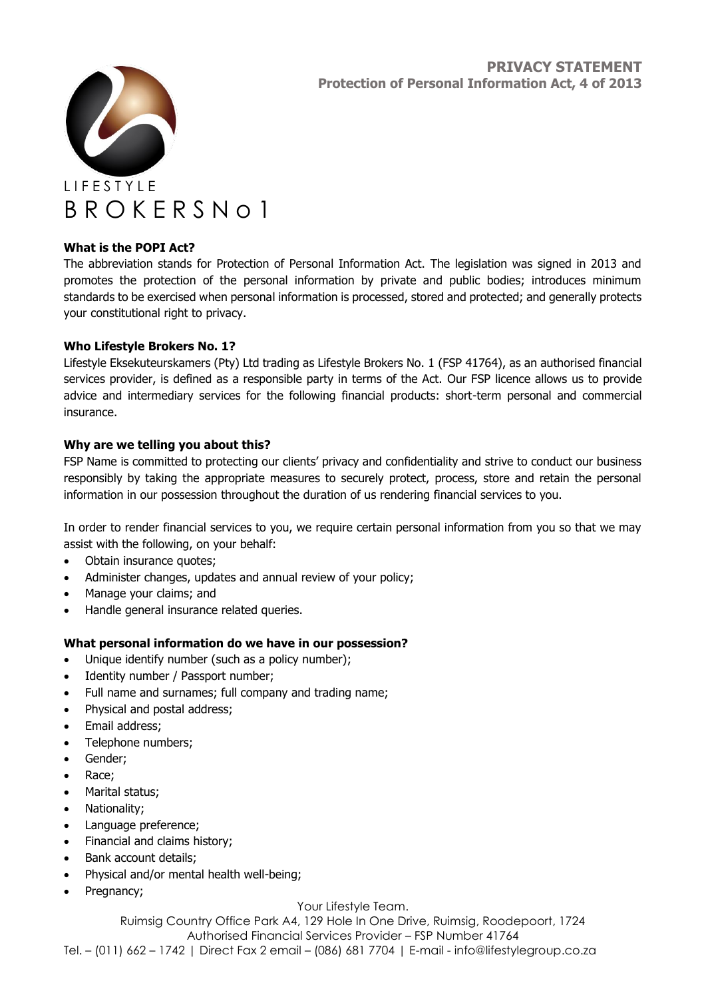

# **What is the POPI Act?**

The abbreviation stands for Protection of Personal Information Act. The legislation was signed in 2013 and promotes the protection of the personal information by private and public bodies; introduces minimum standards to be exercised when personal information is processed, stored and protected; and generally protects your constitutional right to privacy.

## **Who Lifestyle Brokers No. 1?**

Lifestyle Eksekuteurskamers (Pty) Ltd trading as Lifestyle Brokers No. 1 (FSP 41764), as an authorised financial services provider, is defined as a responsible party in terms of the Act. Our FSP licence allows us to provide advice and intermediary services for the following financial products: short-term personal and commercial insurance.

## **Why are we telling you about this?**

FSP Name is committed to protecting our clients' privacy and confidentiality and strive to conduct our business responsibly by taking the appropriate measures to securely protect, process, store and retain the personal information in our possession throughout the duration of us rendering financial services to you.

In order to render financial services to you, we require certain personal information from you so that we may assist with the following, on your behalf:

- Obtain insurance quotes;
- Administer changes, updates and annual review of your policy;
- Manage your claims; and
- Handle general insurance related queries.

### **What personal information do we have in our possession?**

- Unique identify number (such as a policy number);
- Identity number / Passport number;
- Full name and surnames; full company and trading name;
- Physical and postal address;
- Email address;
- Telephone numbers;
- Gender;
- Race;
- Marital status;
- Nationality;
- Language preference;
- Financial and claims history;
- Bank account details;
- Physical and/or mental health well-being;
- Pregnancy;

### Your Lifestyle Team.

Ruimsig Country Office Park A4, 129 Hole In One Drive, Ruimsig, Roodepoort, 1724 Authorised Financial Services Provider – FSP Number 41764 Tel. – (011) 662 – 1742 | Direct Fax 2 email – (086) 681 7704 | E-mail - info@lifestylegroup.co.za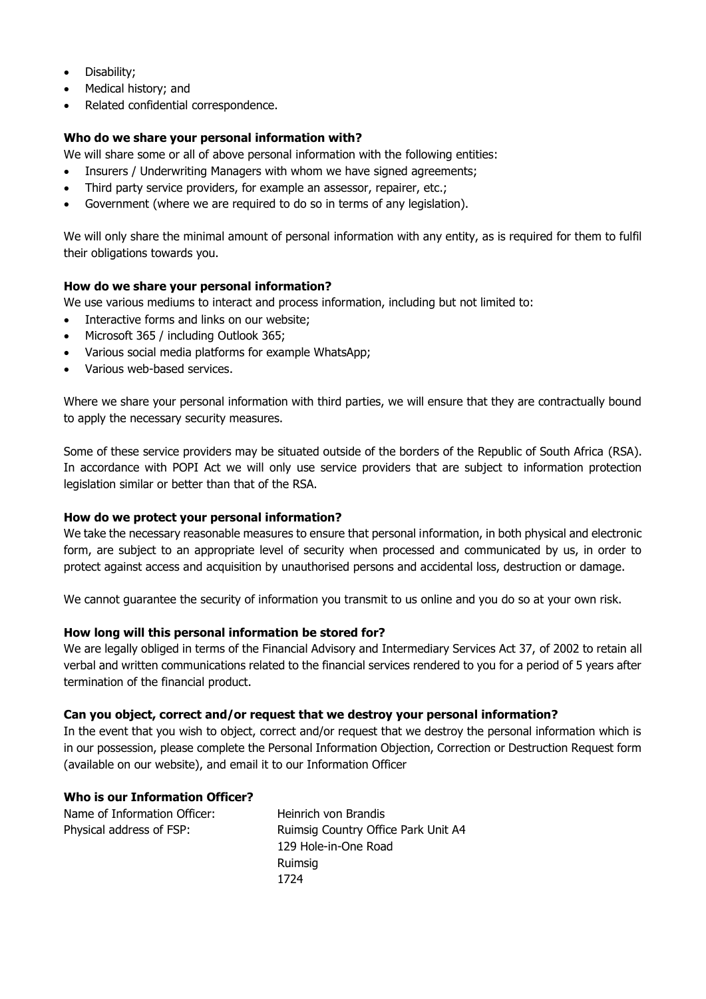- Disability;
- Medical history; and
- Related confidential correspondence.

## **Who do we share your personal information with?**

We will share some or all of above personal information with the following entities:

- Insurers / Underwriting Managers with whom we have signed agreements;
- Third party service providers, for example an assessor, repairer, etc.;
- Government (where we are required to do so in terms of any legislation).

We will only share the minimal amount of personal information with any entity, as is required for them to fulfil their obligations towards you.

### **How do we share your personal information?**

We use various mediums to interact and process information, including but not limited to:

- Interactive forms and links on our website;
- Microsoft 365 / including Outlook 365;
- Various social media platforms for example WhatsApp;
- Various web-based services.

Where we share your personal information with third parties, we will ensure that they are contractually bound to apply the necessary security measures.

Some of these service providers may be situated outside of the borders of the Republic of South Africa (RSA). In accordance with POPI Act we will only use service providers that are subject to information protection legislation similar or better than that of the RSA.

### **How do we protect your personal information?**

We take the necessary reasonable measures to ensure that personal information, in both physical and electronic form, are subject to an appropriate level of security when processed and communicated by us, in order to protect against access and acquisition by unauthorised persons and accidental loss, destruction or damage.

We cannot guarantee the security of information you transmit to us online and you do so at your own risk.

### **How long will this personal information be stored for?**

We are legally obliged in terms of the Financial Advisory and Intermediary Services Act 37, of 2002 to retain all verbal and written communications related to the financial services rendered to you for a period of 5 years after termination of the financial product.

### **Can you object, correct and/or request that we destroy your personal information?**

In the event that you wish to object, correct and/or request that we destroy the personal information which is in our possession, please complete the Personal Information Objection, Correction or Destruction Request form (available on our website), and email it to our Information Officer

### **Who is our Information Officer?**

Name of Information Officer: Heinrich von Brandis Physical address of FSP: Ruimsig Country Office Park Unit A4 129 Hole-in-One Road Ruimsig 1724